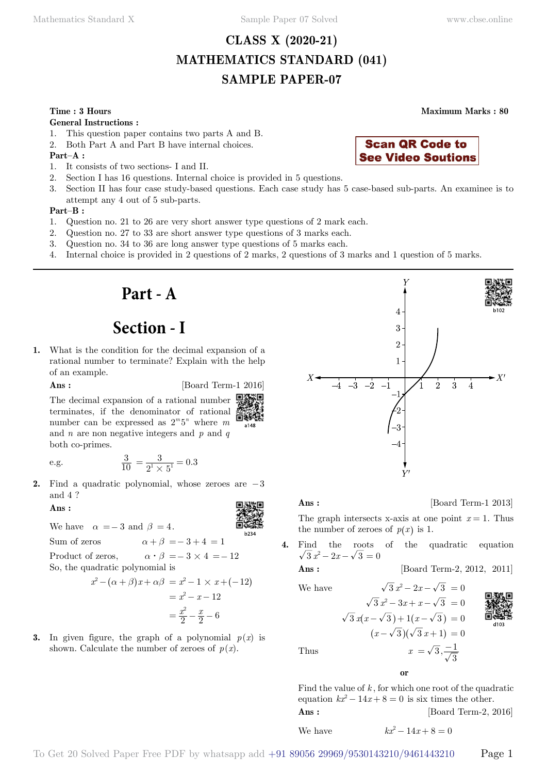# **CLASS X (2020-21) MATHEMATICS STANDARD (041) SAMPLE PAPER-07**

#### **General Instructions :**

- 1. This question paper contains two parts A and B.
- 2. Both Part A and Part B have internal choices.

### **Part–A :**

- 1. It consists of two sections- I and II.
- 2. Section I has 16 questions. Internal choice is provided in 5 questions.
- 3. Section II has four case study-based questions. Each case study has 5 case-based sub-parts. An examinee is to attempt any 4 out of 5 sub-parts.

#### **Part–B :**

- 1. Question no. 21 to 26 are very short answer type questions of 2 mark each.
- 2. Question no. 27 to 33 are short answer type questions of 3 marks each.
- 3. Question no. 34 to 36 are long answer type questions of 5 marks each.
- 4. Internal choice is provided in 2 questions of 2 marks, 2 questions of 3 marks and 1 question of 5 marks.

# **Part - A**

# **Section - I**

**1.** What is the condition for the decimal expansion of a rational number to terminate? Explain with the help of an example.

$$
\mathbf{Ans:}
$$

**Ans :** [Board Term-1 2016]

The decimal expansion of a rational number terminates, if the denominator of rational 百絲虫 number can be expressed as  $2^m 5^n$  where m and *n* are non negative integers and *p* and *q* both co-primes.

e.g. 
$$
\frac{3}{10} = \frac{3}{2^1 \times 5^1} = 0.3
$$

**2.** Find a quadratic polynomial, whose zeroes are  $-3$ and 4 ?

 **Ans :**

We have 
$$
\alpha = -3
$$
 and  $\beta = 4$ .

Sum of zeros  $\alpha + \beta = -3 + 4 = 1$ 

Product of zeros,  $\alpha \cdot \beta = -3 \times 4 = -12$ <br>So the curduational method is So, the quadratic

$$
x^{2} - (\alpha + \beta)x + \alpha\beta = x^{2} - 1 \times x + (-12)
$$
  
=  $x^{2} - x - 12$   
=  $\frac{x^{2}}{2} - \frac{x}{2} - 6$ 

**3.** In given figure, the graph of a polynomial  $p(x)$  is shown. Calculate the number of zeroes of  $p(x)$ .



**Ans :** [Board Term-1 2013] The graph intersects x-axis at one point  $x = 1$ . Thus the number of zeroes of  $p(x)$  is 1.

**4.** Find the roots of the quadratic equation  $\sqrt{3} x^2 - 2x - \sqrt{3} = 0$ 

 **Ans :** [Board Term-2, 2012, 2011]

We have  $\sqrt{3} x^2 - 2x - \sqrt{3} = 0$ 

$$
\sqrt{3}x^2 - 3x + x - \sqrt{3} = 0
$$
  

$$
\sqrt{3}x(x - \sqrt{3}) + 1(x - \sqrt{3}) = 0
$$
  

$$
(x - \sqrt{3})(\sqrt{3}x + 1) = 0
$$
  
Thus  

$$
x = \sqrt{3}, \frac{-1}{\sqrt{3}}
$$



 **o**

Find the value of *k* , for which one root of the quadratic equation  $kx^2 - 14x + 8 = 0$  is six times the other. **Ans :** [Board Term-2, 2016]

We have  $kx^2 - 14x + 8 = 0$ 

**Time : 3 Hours Maximum Marks : 80**

**Scan QR Code to See Video Soutions**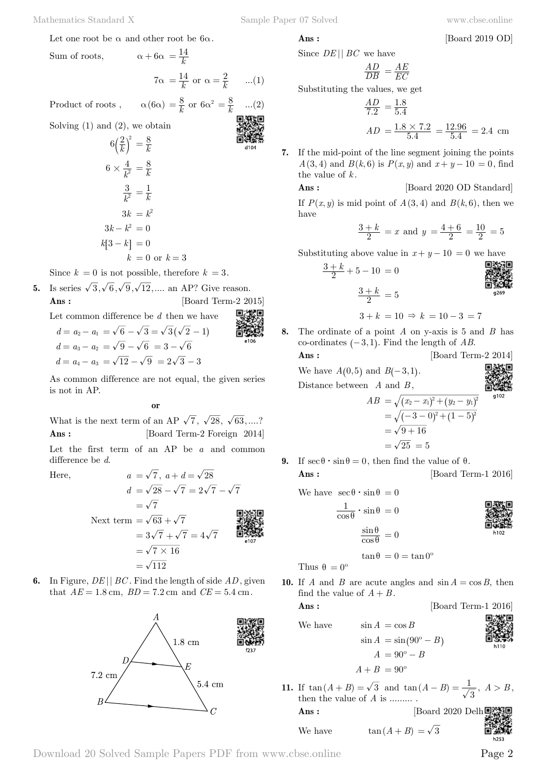Let one root be  $\alpha$  and other root be  $6\alpha$ .

Sum of roots,  $\alpha + 6\alpha = \frac{14}{k}$ 

$$
7\alpha = \frac{14}{k} \text{ or } \alpha = \frac{2}{k} \qquad ...(1)
$$

 $d104$ 

Product of roots,  $\alpha (6\alpha) = \frac{8}{k}$  or  $6\alpha^2 = \frac{8}{k}$  ...(2)

Solving  $(1)$  and  $(2)$ , we obtain

$$
6\left(\frac{2}{k}\right)^2 = \frac{8}{k}
$$
  
\n
$$
6 \times \frac{4}{k^2} = \frac{8}{k}
$$
  
\n
$$
\frac{3}{k^2} = \frac{1}{k}
$$
  
\n
$$
3k = k^2
$$
  
\n
$$
3k - k^2 = 0
$$
  
\n
$$
k[3 - k] = 0
$$
  
\n
$$
k = 0 \text{ or } k = 3
$$

Since 
$$
k = 0
$$
 is not possible, therefore  $k = 3$ .

5. Is series 
$$
\sqrt{3}, \sqrt{6}, \sqrt{9}, \sqrt{12}, \dots
$$
 an AP? Give reason.  
Ans: [Board Term-2 2015]

回游回 Let common difference be *d* then we have

$$
d = a_2 - a_1 = \sqrt{6} - \sqrt{3} = \sqrt{3}(\sqrt{2} - 1)
$$
  
\n
$$
d = a_3 - a_2 = \sqrt{9} - \sqrt{6} = 3 - \sqrt{6}
$$
  
\n
$$
d = a_4 - a_3 = \sqrt{12} - \sqrt{9} = 2\sqrt{3} - 3
$$

As common difference are not equal, the given series is not in AP.

 **o**

What is the next term of an AP  $\sqrt{7}$ ,  $\sqrt{28}$ ,  $\sqrt{63}$ , ....? **Ans :** [Board Term-2 Foreign 2014]

Let the first term of an AP be *a* and common difference be *d*.

 $Here,$ 

Here,  
\n
$$
a = \sqrt{7}, a + d = \sqrt{28}
$$
\n
$$
d = \sqrt{28} - \sqrt{7} = 2\sqrt{7} - \sqrt{7}
$$
\n
$$
= \sqrt{7}
$$
\nNext term =  $\sqrt{63} + \sqrt{7}$   
\n
$$
= 3\sqrt{7} + \sqrt{7} = 4\sqrt{7}
$$
\n
$$
= \sqrt{7 \times 16}
$$
\n
$$
= \sqrt{112}
$$

**6.** In Figure, *DE* || *BC* . Find the length of side *AD*, given that  $AE = 1.8$  cm,  $BD = 7.2$  cm and  $CE = 5.4$  cm.



Since *DE* || *BC* we have

$$
\frac{AD}{DB} = \frac{AE}{EC}
$$

Substituting the values, we get

$$
\frac{AD}{7.2} = \frac{1.8}{5.4}
$$
  
AD =  $\frac{1.8 \times 7.2}{5.4} = \frac{12.96}{5.4} = 2.4$  cm

**7.** If the mid-point of the line segment joining the points *A*(3,4) and *B*( $k$ ,6) is *P*( $x$ ,  $y$ ) and  $x + y - 10 = 0$ , find the value of *k* .

 **Ans :** [Board 2020 OD Standard]

If  $P(x, y)$  is mid point of  $A(3, 4)$  and  $B(k, 6)$ , then we have

$$
\frac{3+k}{2} = x
$$
 and  $y = \frac{4+6}{2} = \frac{10}{2} = 5$ 

Substituting above value in  $x + y - 10 = 0$  we have

*k* 2 <sup>3</sup> 5 10 <sup>+</sup> + − <sup>=</sup> <sup>0</sup> *k* 2 <sup>3</sup> <sup>+</sup> <sup>=</sup> <sup>5</sup> 3 + *k* = 10 & *k* = 10 − 3 = 7

**8.** The ordinate of a point *A* on y-axis is 5 and *B* has co-ordinates  $(-3, 1)$ . Find the length of *AB*.<br>**Ans**: [Board Terro

[Board Term-2 2014]

We have  $A(0,5)$  and  $B(-3, 1)$ .

Distance between *A* and *B* ,

$$
AB = \sqrt{(x_2 - x_1)^2 + (y_2 - y_1)^2}
$$
  
=  $\sqrt{(-3 - 0)^2 + (1 - 5)^2}$   
=  $\sqrt{0 + 16}$ 

$$
= \sqrt{(-3-0)^2 + (1-5)^2}
$$
  
=  $\sqrt{9+16}$   
=  $\sqrt{25} = 5$ 

**9.** If  $\sec \theta \cdot \sin \theta = 0$ , then find the value of  $\theta$ .

**Ans :** [Board Term-1 2016]

We have  $\sec \theta \cdot \sin \theta = 0$ 

$$
\frac{1}{\cos \theta} \cdot \sin \theta = 0
$$

$$
\frac{\sin \theta}{\cos \theta} = 0
$$

 $\tan \theta = 0 = \tan 0^{\circ}$ 

Thus  $\theta = 0^{\circ}$ 

**10.** If *A* and *B* are acute angles and  $\sin A = \cos B$ , then find the value of  $A + B$ .

$$
Ans : \qquad \qquad [\text{Board Term-1 2016}]
$$

We have  $\sin A = \cos B$  $\sin A = \sin(90^\circ - B)$  $A = 90^{\circ} - B$ 

**11.** If  $\tan(A + B) = \sqrt{3}$  and  $\tan(A - B) = \frac{1}{\sqrt{3}}$ ,  $A > B$ , then the value of 4 is then the value of *A* is ......... .

 $A + B = 90^{\circ}$ 

We have  $\tan (A + B) = \sqrt{3}$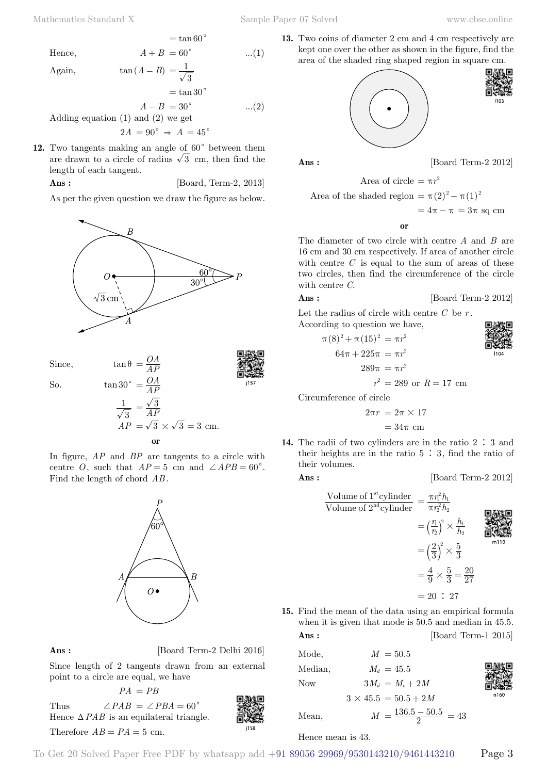$$
= \tan 60^{\circ}
$$

Hence,  
\n
$$
A + B = 60^{\circ} \qquad ...(1)
$$
\n
$$
Again, \qquad \tan(A - B) = \frac{1}{\sqrt{3}}
$$
\n
$$
= \tan 30^{\circ}
$$

 $A - B = 30^{\circ}$  ...(2) Adding equation (1) and (2) we get  $2A = 90^{\circ} \Rightarrow A = 45^{\circ}$ 

12. Two tangents making an angle of  $60^{\circ}$  between them are drawn to a circle of radius  $\sqrt{3}$  cm, then find the length of each tangent.

**Ans :** [Board, Term-2, 2013]

As per the given question we draw the figure as below.



*OA* <sup>=</sup>

Since.

Since,

\n
$$
\tan \theta = \frac{A}{AP}
$$
\n
$$
\tan 30^{\circ} = \frac{OA}{AP}
$$
\n
$$
\frac{1}{\sqrt{3}} = \frac{\sqrt{3}}{AP}
$$
\n
$$
AP = \sqrt{3} \times \sqrt{3} = 3 \text{ cm.}
$$
\nor

In figure, *AP* and *BP* are tangents to a circle with centre *O*, such that  $AP = 5$  cm and  $\angle APB = 60^{\circ}$ . Find the length of chord *AB* .

**Ans :** [Board Term-2 Delhi 2016]

 $\overline{B}$ 

Since length of 2 tangents drawn from an external point to a circle are equal, we have

 $\overline{O}$ 

$$
PA = PB
$$
  
Thus  $\angle PAB = \angle PBA = 60^{\circ}$   
Hence  $\triangle PAB$  is an equilateral triangle.  
Therefore  $AB = PA = 5$  cm.



**13.** Two coins of diameter 2 cm and 4 cm respectively are kept one over the other as shown in the figure, find the area of the shaded ring shaped region in square cm.



Area of circle = 
$$
\pi r^2
$$
  
Area of the shaded region =  $\pi (2)^2 - \pi (1)^2$ 

 $= 4\pi - \pi = 3\pi$  sq cm

 **o**

The diameter of two circle with centre *A* and *B* are 16 cm and 30 cm respectively. If area of another circle with centre  $C$  is equal to the sum of areas of these two circles, then find the circumference of the circle with centre *C*.

**Ans :** [Board Term-2 2012]

Let the radius of circle with centre *C* be *r* . According to question we have,

$$
\pi (8)^2 + \pi (15)^2 = \pi r^2
$$
  
64 $\pi$  + 225 $\pi$  =  $\pi r^2$   
289 $\pi$  =  $\pi r^2$   
 $r^2$  = 289°°

 $= 289$  or  $R = 17$  cm

Circumference of circle

$$
2\pi r = 2\pi \times 17
$$

$$
= 34\pi \text{ cm}
$$

**14.** The radii of two cylinders are in the ratio  $2 \div 3$  and their heights are in the ratio  $5 \div 3$ , find the ratio of their volumes.

**Ans :** [Board Term-2 2012]

Volume of 2<sup>nt</sup>cylinder  
\nVolume of 2<sup>nd</sup>cylinder 
$$
= \frac{\pi r_1^2 h_1}{\pi r_2^2 h_2}
$$
  
\n $= \left(\frac{r_1}{r_2}\right)^2 \times \frac{h_1}{h_2}$   
\n $= \left(\frac{2}{3}\right)^2 \times \frac{5}{3}$   
\n $= \frac{4}{9} \times \frac{5}{3} = \frac{20}{27}$ 

 $= 20 \div 27$ 

**15.** Find the mean of the data using an empirical formula when it is given that mode is 50.5 and median in 45.5. **Ans :** [Board Term-1 2015]

| Mode,      | $M = 50.5$                        |    |
|------------|-----------------------------------|----|
| Median,    | $M_d = 45.5$                      |    |
| <b>Now</b> | $3M_d = M_o + 2M$                 |    |
|            | $3 \times 45.5 = 50.5 + 2M$       | n1 |
| Mean,      | $M = \frac{136.5 - 50.5}{2} = 43$ |    |



Hence mean is 43.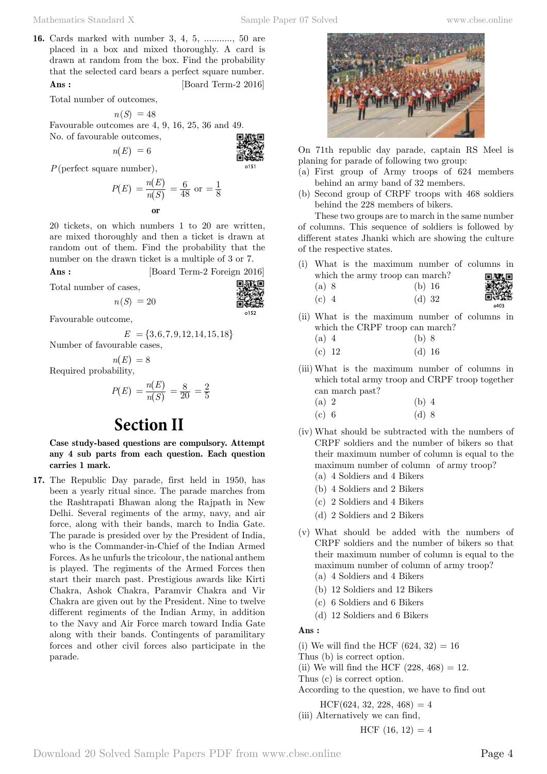**16.** Cards marked with number 3, 4, 5, ..........., 50 are placed in a box and mixed thoroughly. A card is drawn at random from the box. Find the probability that the selected card bears a perfect square number. **Ans :** [Board Term-2 2016]

Total number of outcomes,

 $n(S) = 48$ 

Favourable outcomes are 4, 9, 16, 25, 36 and 49. No. of favourable outcomes,

$$
n(E) = 6
$$

*P*(perfect square number),

$$
P(E) = \frac{n(E)}{n(S)} = \frac{6}{48} \text{ or } = \frac{1}{8}
$$
  
or

20 tickets, on which numbers 1 to 20 are written, are mixed thoroughly and then a ticket is drawn at random out of them. Find the probability that the number on the drawn ticket is a multiple of 3 or 7.

**Ans :** [Board Term-2 Foreign 2016]

Total number of cases,

$$
n(S) = 20
$$



Favourable outcome,

$$
E\ = \{3,6,7,9,12,14,15,18\}
$$

Number of favourable cases,

 $n(E) = 8$ Required probability,

$$
P(E) = \frac{n(E)}{n(S)} = \frac{8}{20} = \frac{2}{5}
$$

# **Section II**

**Case study-based questions are compulsory. Attempt any 4 sub parts from each question. Each question carries 1 mark.**

**17.** The Republic Day parade, first held in 1950, has been a yearly ritual since. The parade marches from the Rashtrapati Bhawan along the Rajpath in New Delhi. Several regiments of the army, navy, and air force, along with their bands, march to India Gate. The parade is presided over by the President of India, who is the Commander-in-Chief of the Indian Armed Forces. As he unfurls the tricolour, the national anthem is played. The regiments of the Armed Forces then start their march past. Prestigious awards like Kirti Chakra, Ashok Chakra, Paramvir Chakra and Vir Chakra are given out by the President. Nine to twelve different regiments of the Indian Army, in addition to the Navy and Air Force march toward India Gate along with their bands. Contingents of paramilitary forces and other civil forces also participate in the parade.



On 71th republic day parade, captain RS Meel is planing for parade of following two group:

- (a) First group of Army troops of 624 members behind an army band of 32 members.
- (b) Second group of CRPF troops with 468 soldiers behind the 228 members of bikers.

These two groups are to march in the same number of columns. This sequence of soldiers is followed by different states Jhanki which are showing the culture of the respective states.

(i) What is the maximum number of columns in which the army troop can march? 同球同

(a) 8 (b) 16 (c) 4 (d) 32



- (ii) What is the maximum number of columns in which the CRPF troop can march?
	- (a)  $4$  (b) 8 (c) 12 (d) 16
- (iii) What is the maximum number of columns in which total army troop and CRPF troop together can march past?
	- (a) 2 (b) 4
	- (c) 6 (d) 8
- (iv) What should be subtracted with the numbers of CRPF soldiers and the number of bikers so that their maximum number of column is equal to the maximum number of column of army troop?
	- (a) 4 Soldiers and 4 Bikers
	- (b) 4 Soldiers and 2 Bikers
	- (c) 2 Soldiers and 4 Bikers
	- (d) 2 Soldiers and 2 Bikers
- (v) What should be added with the numbers of CRPF soldiers and the number of bikers so that their maximum number of column is equal to the maximum number of column of army troop? (a) 4 Soldiers and 4 Bikers
	- (b) 12 Soldiers and 12 Bikers
	- (c) 6 Soldiers and 6 Bikers
	- (d) 12 Soldiers and 6 Bikers

## **Ans :**

(i) We will find the HCF  $(624, 32) = 16$ 

Thus (b) is correct option.

(ii) We will find the HCF  $(228, 468) = 12$ .

Thus (c) is correct option. According to the question, we have to find out

 $HCF(624, 32, 228, 468) = 4$ 

(iii) Alternatively we can find,

HCF  $(16, 12) = 4$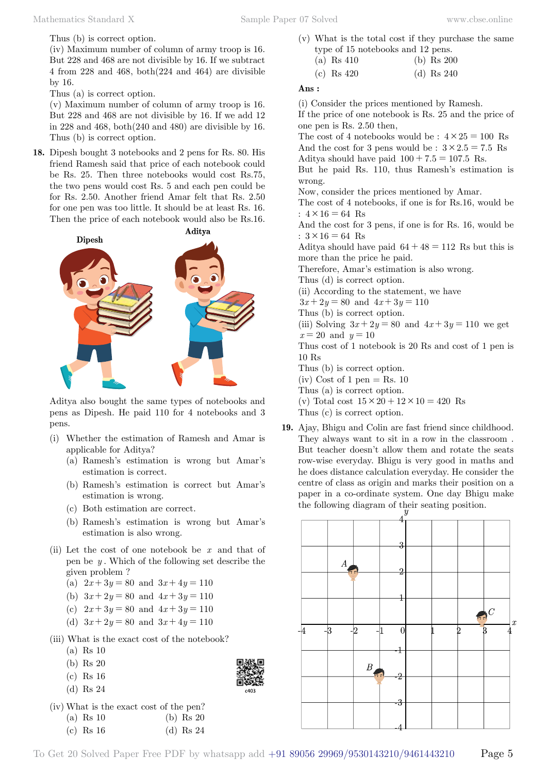Thus (b) is correct option.

(iv) Maximum number of column of army troop is 16. But 228 and 468 are not divisible by 16. If we subtract 4 from 228 and 468, both(224 and 464) are divisible by 16.

Thus (a) is correct option.

(v) Maximum number of column of army troop is 16. But 228 and 468 are not divisible by 16. If we add 12 in 228 and 468, both(240 and 480) are divisible by 16. Thus (b) is correct option.

**18.** Dipesh bought 3 notebooks and 2 pens for Rs. 80. His friend Ramesh said that price of each notebook could be Rs. 25. Then three notebooks would cost Rs.75, the two pens would cost Rs. 5 and each pen could be for Rs. 2.50. Another friend Amar felt that Rs. 2.50 for one pen was too little. It should be at least Rs. 16. Then the price of each notebook would also be Rs.16.



Aditya also bought the same types of notebooks and pens as Dipesh. He paid 110 for 4 notebooks and 3 pens.

- (i) Whether the estimation of Ramesh and Amar is applicable for Aditya?
	- (a) Ramesh's estimation is wrong but Amar's estimation is correct.
	- (b) Ramesh's estimation is correct but Amar's estimation is wrong.
	- (c) Both estimation are correct.
	- (b) Ramesh's estimation is wrong but Amar's estimation is also wrong.
- (ii) Let the cost of one notebook be *x* and that of pen be *y* . Which of the following set describe the given problem ?
	- (a)  $2x + 3y = 80$  and  $3x + 4y = 110$
	- (b)  $3x+2y=80$  and  $4x+3y=110$
	- (c)  $2x + 3y = 80$  and  $4x + 3y = 110$
	- (d)  $3x + 2y = 80$  and  $3x + 4y = 110$

(iii) What is the exact cost of the notebook?

- (a) Rs 10
- (b) Rs 20
- (c) Rs 16
- (d) Rs 24

| c403 |
|------|

- (iv) What is the exact cost of the pen?
	- (a) Rs 10 (b) Rs 20 (c) Rs 16 (d) Rs 24
- (v) What is the total cost if they purchase the same type of 15 notebooks and 12 pens. (a) Rs 410 (b) Rs 200
	- (c) Rs 420 (d) Rs 240

## **Ans :**

(i) Consider the prices mentioned by Ramesh. If the price of one notebook is Rs. 25 and the price of one pen is Rs. 2.50 then,

The cost of 4 notebooks would be :  $4 \times 25 = 100$  Rs

- And the cost for 3 pens would be :  $3 \times 2.5 = 7.5$  Rs
- Aditya should have paid  $100 + 7.5 = 107.5$  Rs.

But he paid Rs. 110, thus Ramesh's estimation is wrong.

- Now, consider the prices mentioned by Amar.
- The cost of 4 notebooks, if one is for Rs.16, would be :  $4 \times 16 = 64$  Rs

And the cost for 3 pens, if one is for Rs. 16, would be :  $3 \times 16 = 64$  Rs

Aditya should have paid  $64 + 48 = 112$  Rs but this is more than the price he paid.

Therefore, Amar's estimation is also wrong.

Thus (d) is correct option.

(ii) According to the statement, we have

 $3x + 2y = 80$  and  $4x + 3y = 110$ 

Thus (b) is correct option.

(iii) Solving  $3x + 2y = 80$  and  $4x + 3y = 110$  we get  $x = 20$  and  $y = 10$ 

Thus cost of 1 notebook is 20 Rs and cost of 1 pen is 10 Rs

- Thus (b) is correct option.
- $(iv)$  Cost of 1 pen = Rs. 10
- Thus (a) is correct option.
- (v) Total cost  $15 \times 20 + 12 \times 10 = 420$  Rs

Thus (c) is correct option.

**19.** Ajay, Bhigu and Colin are fast friend since childhood. They always want to sit in a row in the classroom . But teacher doesn't allow them and rotate the seats row-wise everyday. Bhigu is very good in maths and he does distance calculation everyday. He consider the centre of class as origin and marks their position on a paper in a co-ordinate system. One day Bhigu make the following diagram of their seating position.

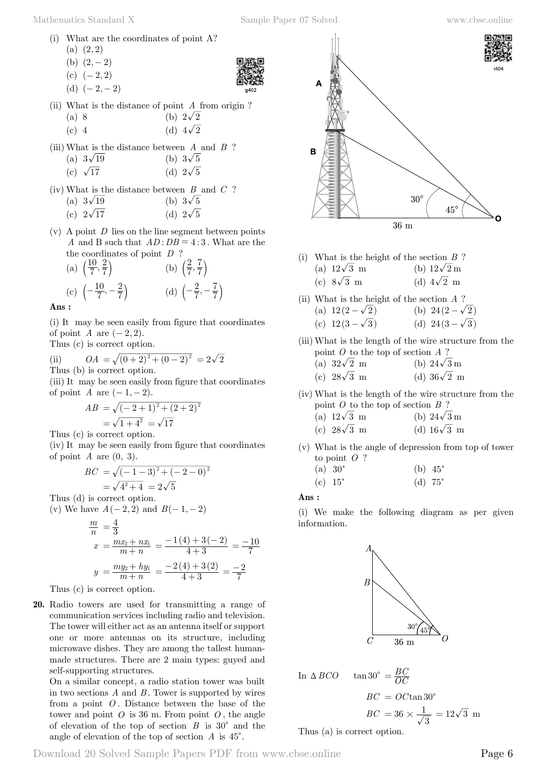- (i) What are the coordinates of point A?  $(a)$   $(2, 2)$ 
	- (b)  $(2, -2)$
	- (c)  $(-2, 2)$
	- (d)  $(-2, -2)$
- (ii) What is the distance of point *A* from origin ? (a) 8 (b)  $2\sqrt{2}$ 
	- (c) 4 (d)  $4\sqrt{2}$
- (iii) What is the distance between *A* and *B* ? (a)  $3\sqrt{19}$  (b)  $3\sqrt{5}$

| (c) $\sqrt{17}$ | (d) $2\sqrt{5}$ |
|-----------------|-----------------|
|-----------------|-----------------|

- (iv) What is the distance between *B* and *C* ? (a)  $3\sqrt{19}$  (b)  $3\sqrt{5}$ (c)  $2\sqrt{17}$  (d)  $2\sqrt{5}$
- (v) A point *D* lies on the line segment between points *A* and B such that  $AD:DB = 4:3$ . What are the the coordinates of point *D* ?

(a) 
$$
\left(\frac{10}{7}, \frac{2}{7}\right)
$$
 (b)  $\left(\frac{2}{7}, \frac{7}{7}\right)$   
\n(c)  $\left(-\frac{10}{7}, -\frac{2}{7}\right)$  (d)  $\left(-\frac{2}{7}, -\frac{7}{7}\right)$ 

 **Ans :**

(i) It may be seen easily from figure that coordinates of point *A* are  $(-2, 2)$ .

Thus (c) is correct option.

(ii) 
$$
OA = \sqrt{(0+2)^2 + (0-2)^2} = 2\sqrt{2}
$$
  
Thus (b) is correct option.

(iii) It may be seen easily from figure that coordinates of point *A* are  $(-1, -2)$ .

$$
AB = \sqrt{(-2+1)^2 + (2+2)^2}
$$
  
=  $\sqrt{1+4^2} = \sqrt{17}$ 

Thus (c) is correct option. (iv) It may be seen easily from figure that coordinates of point  $A$  are  $(0, 3)$ .

$$
BC = \sqrt{(-1-3)^2 + (-2-0)^2}
$$
  
=  $\sqrt{4^2 + 4} = 2\sqrt{5}$ 

Thus (d) is correct option.

(v) We have  $A(-2, 2)$  and  $B(-1, -2)$ 

$$
\frac{m}{n} = \frac{4}{3}
$$
  

$$
x = \frac{mx_2 + nx_1}{m+n} = \frac{-1(4) + 3(-2)}{4+3} = \frac{-10}{7}
$$
  

$$
y = \frac{my_2 + hy_1}{m+n} = \frac{-2(4) + 3(2)}{4+3} = \frac{-2}{7}
$$

Thus (c) is correct option.

**20.** Radio towers are used for transmitting a range of communication services including radio and television. The tower will either act as an antenna itself or support one or more antennas on its structure, including microwave dishes. They are among the tallest humanmade structures. There are 2 main types: guyed and self-supporting structures.

On a similar concept, a radio station tower was built in two sections *A* and *B* . Tower is supported by wires from a point *O* . Distance between the base of the tower and point *O* is 36 m. From point *O* , the angle of elevation of the top of section  $B$  is 30° and the angle of elevation of the top of section  $A$  is  $45^{\circ}$ .



n

 $30<sup>c</sup>$  $45^\circ$  $36m$ 

- (i) What is the height of the section *B* ? (a)  $12\sqrt{3}$  m (b)  $12\sqrt{2}$  m (c)  $8\sqrt{3}$  m (d)  $4\sqrt{2}$  m
- (ii) What is the height of the section *A* ?<br>
(a)  $12(2-\sqrt{2})$  (b)  $24(2-\sqrt{2})$ (b)  $24(2 - \sqrt{2})$ (c)  $12(3-\sqrt{3})$  (d)  $24(3-\sqrt{3})$
- (iii) What is the length of the wire structure from the point *O* to the top of section *A* ?
	- (a)  $32\sqrt{2}$  m (b)  $24\sqrt{3}$  m (c)  $28\sqrt{3}$  m (d)  $36\sqrt{2}$  m
- (iv) What is the length of the wire structure from the point *O* to the top of section *B* ?
	- (a)  $12\sqrt{3}$  m (b)  $24\sqrt{3}$  m
	- (c)  $28\sqrt{3}$  m (d)  $16\sqrt{3}$  m
- (v) What is the angle of depression from top of tower to point *O* ?

(a) 
$$
30^{\circ}
$$
 (b)  $45^{\circ}$ 

(c)  $15^{\circ}$  (d)  $75^{\circ}$ 

## **Ans :**

(i) We make the following diagram as per given information.



In 
$$
\triangle BCO
$$
  $\tan 30^{\circ} = \frac{BC}{OC}$   
 $BC = OC \tan 30^{\circ}$   
 $BC = 36 \times \frac{1}{\sqrt{3}} = 12\sqrt{3}$  m  
Thus (a) is correct option.

Download 20 Solved Sample Papers PDF from [www.cbse.online](http://www.cbse.online) Page 6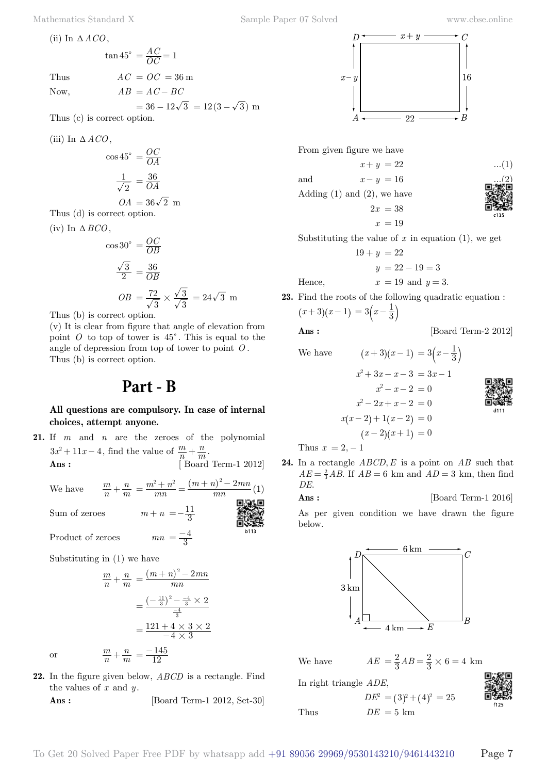Mathematics Standard X Sample Paper 07 Solved [www.cbse.online](http://www.cbse.online)

(ii) In  $\triangle ACO$ ,

$$
\tan 45^\circ = \frac{AC}{OC} = 1
$$

Thus  $AC = OC = 36$  m

Now,  $AB = AC - BC$ 

$$
= 36 - 12\sqrt{3} = 12(3 - \sqrt{3})
$$
 m  
Thus (c) is correct option

Thus (c) is correct option.

(iii) In  $\triangle ACO$ .

$$
\cos 45^\circ = \frac{OC}{OA}
$$

$$
\frac{1}{\sqrt{2}} = \frac{36}{OA}
$$

$$
OA = 36\sqrt{2} \text{ m}
$$

Thus (d) is correct option.

 $(iv)$  In  $\triangle BCO$ ,

$$
\cos 30^\circ = \frac{OC}{OB}
$$
  

$$
\frac{\sqrt{3}}{2} = \frac{36}{OB}
$$
  

$$
OB = \frac{72}{\sqrt{3}} \times \frac{\sqrt{3}}{\sqrt{3}} = 24\sqrt{3} \text{ m}
$$

Thus (b) is correct option.

(v) It is clear from figure that angle of elevation from point  $O$  to top of tower is  $45^{\circ}$ . This is equal to the angle of depression from top of tower to point *O* . Thus (b) is correct option.

## **Part - B**

### **All questions are compulsory. In case of internal choices, attempt anyone.**

**21.** If *m* and *n* are the zeroes of the polynomial  $3x^2 + 11x - 4$ , find the value of  $\frac{m}{n}$  $+\frac{n}{m}$ . **Ans :** [ Board Term-1 2012]

We have *n m*  $+\frac{n}{m} = \frac{m^2 + n^2}{mn} = \frac{(m+n)}{m}$  $m^2 + n$ *mn*  $=\frac{m^2+n^2}{mn}=\frac{(m+n)^2-2mn}{mn}(1)$ Sum of zeroes  $m + n = -\frac{11}{3}$  $mn = \frac{-4}{3}$ 

Product of zeroes

Substituting in (1) we have

*n*

$$
\frac{m}{n} + \frac{n}{m} = \frac{(m+n)^2 - 2mn}{mn}
$$

$$
= \frac{(-\frac{11}{3})^2 - \frac{-4}{3} \times 2}{\frac{-4}{3}}
$$

$$
= \frac{121 + 4 \times 3 \times 2}{-4 \times 3}
$$
or 
$$
\frac{m}{n} + \frac{n}{m} = \frac{-145}{12}
$$

or

**22.** In the figure given below, *ABCD* is a rectangle. Find the values of *x* and *y* .

**Ans :** [Board Term-1 2012, Set-30]



From given figure we have

$$
x + y = 22
$$
...(1)  
and  

$$
x - y = 16
$$
...(2)  
Adding (1) and (2), we have  

$$
2x = 38
$$
...(3)  

$$
x = 19
$$
Substituting the value of x in equation (1) we get

Substituting the value of  $x$  in equation  $(1)$ , we get

$$
+y=22
$$

$$
y = 22 - 19 = 3
$$

Hence,  $x = 19$  and  $y = 3$ .

19 + *y* = 22

**23.** Find the roots of the following quadratic equation :  $(x+3)(x-1) = 3\left(x-\frac{1}{3}\right)$ 

**Ans :** 
$$
[Board Term-2 2012]
$$

We have 
$$
(x+3)(x-1) = 3(x-\frac{1}{3})
$$
  
\n $x^2 + 3x - x - 3 = 3x - 1$   
\n $x^2 - x - 2 = 0$   
\n $x^2 - 2x + x - 2 = 0$   
\n $x(x-2) + 1(x-2) = 0$   
\n $(x-2)(x+1) = 0$   
\nThus  $x = 2, -1$ 

**24.** In a rectangle *ABCD*,*E* is a point on *AB* such that  $AE = \frac{2}{3}AB$ . If  $AB = 6$  km and  $AD = 3$  km, then find *DE*.

**Ans :** [Board Term-1 2016]

As per given condition we have drawn the figure below.



We have 
$$
AE = \frac{2}{3}AB = \frac{2}{3} \times 6 = 4 \text{ km}
$$

In right triangle *ADE*,

3

 $DE<sup>2</sup> = (3)<sup>2</sup> + (4)<sup>2</sup> = 25$ 

Thus  $DE = 5$  km

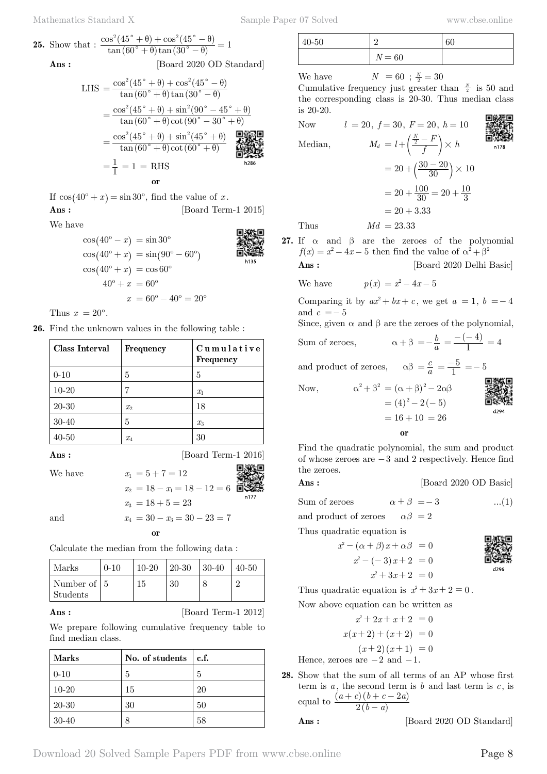h286

**25.** Show that : 
$$
\frac{\cos^2(45^\circ + \theta) + \cos^2(45^\circ - \theta)}{\tan(60^\circ + \theta)\tan(30^\circ - \theta)} = 1
$$

**Ans :** [Board 2020 OD Standard]

LHS = 
$$
\frac{\cos^2(45^\circ + \theta) + \cos^2(45^\circ - \theta)}{\tan(60^\circ + \theta)\tan(30^\circ - \theta)}
$$
  
= 
$$
\frac{\cos^2(45^\circ + \theta) + \sin^2(90^\circ - 45^\circ + \theta)}{\tan(60^\circ + \theta)\cot(90^\circ - 30^\circ + \theta)}
$$
  
= 
$$
\frac{\cos^2(45^\circ + \theta) + \sin^2(45^\circ + \theta)}{\tan(60^\circ + \theta)\cot(60^\circ + \theta)}
$$

$$
= \frac{1}{1} = 1 = \text{RHS}
$$

If  $\cos(40^\circ + x) = \sin 30^\circ$ , find the value of *x*. **Ans :** [Board Term-1 2015] We have

> $\cos(40^\circ - x) = \sin 30^\circ$  $\cos(40^\circ + x) = \sin(90^\circ - 60^\circ)$  $\cos(40^\circ + x) = \cos 60^\circ$  $40^{\circ} + x = 60^{\circ}$  $x = 60^{\circ} - 40^{\circ} = 20^{\circ}$

Thus  $x = 20^\circ$ .

**26.** Find the unknown values in the following table :

| Class Interval | Frequency      | Cumulative<br>Frequency |
|----------------|----------------|-------------------------|
| $0 - 10$       | 5              | 5                       |
| $10 - 20$      |                | $x_1$                   |
| 20-30          | x <sub>2</sub> | 18                      |
| $30 - 40$      | 5              | $x_3$                   |
| $40 - 50$      | $x_4$          | 30                      |

**Ans :** [Board Term-1 2016]

n177

We have  $x_1 = 5 + 7 = 12$  $x_2 = 18 - x_1 = 18 - 12 = 6$ 

and  $x_4 = 30 - x_3 = 30 - 23 = 7$ 

 **o** Calculate the median from the following data :

 $x_3 = 18 + 5 = 23$ 

|               |       |                         | ---------- |      |
|---------------|-------|-------------------------|------------|------|
| $M_{\rm orb}$ | 10.10 | $10.20$ $20.30$ $30.40$ |            | 140F |

| Marks                                 | $0 - 10$ | $10-20$ | $20-30$   $30-40$ | 40-50 |
|---------------------------------------|----------|---------|-------------------|-------|
| Number of $\vert 5 \vert$<br>Students |          |         | 30                |       |

**Ans :** [Board Term-1 2012]

We prepare following cumulative frequency table to find median class.

| <b>Marks</b> | No. of students $ c.f. $ |    |
|--------------|--------------------------|----|
| $0 - 10$     | 5                        | 5  |
| $10 - 20$    | 15                       | 20 |
| $20 - 30$    | 30                       | 50 |
| $30 - 40$    |                          | 58 |

| $40 - 50$ | c        | 60 |
|-----------|----------|----|
|           | $N = 60$ |    |

We have  $N = 60$ ;  $\frac{N}{2} = 30$ 

Cumulative frequency just greater than  $\frac{N}{2}$  is 50 and the corresponding class is 20-30. Thus median class is 20-20. 回路费回

Now 
$$
l = 20
$$
,  $f = 30$ ,  $F = 20$ ,  $h = 10$   
\nMedian,  $M_d = l + \left(\frac{\frac{N}{2} - F}{f}\right) \times h$   
\n $= 20 + \left(\frac{30 - 20}{30}\right) \times 10$   
\n $= 20 + \frac{100}{30} = 20 + \frac{10}{3}$   
\n $= 20 + 3.33$ 

Thus  $Md = 23.33$ 

**27.** If  $\alpha$  and  $\beta$  are the zeroes of the polynomial  $f(x) = x^2 - 4x - 5$  then find the value of  $\alpha^2 + \beta^2$ 

 **Ans :** [Board 2020 Delhi Basic]

We have  $p(x) = x^2 - 4x - 5$ 

Comparing it by  $ax^2 + bx + c$ , we get  $a = 1$ ,  $b = -4$ and  $c = -5$ 

Since, given  $\alpha$  and  $\beta$  are the zeroes of the polynomial,

Sum of zeroes, 
$$
\alpha + \beta = -\frac{b}{a} = \frac{-(-4)}{1} = 4
$$

and product of zeroes,  $\alpha\beta = \frac{c}{a} = \frac{-5}{1} = -5$ 

Now,  $\alpha^2 + \beta^2 = (\alpha + \beta)^2 - 2\alpha\beta$ 

 $d$ 294

 $=(4)^2-2(-5)$  $= 16 + 10 = 26$ 

 **o**

Find the quadratic polynomial, the sum and product of whose zeroes are  $-3$  and 2 respectively. Hence find the zeroes.

| Ans:                                    |                       | [Board 2020 OD Basic] |            |
|-----------------------------------------|-----------------------|-----------------------|------------|
| Sum of zeroes                           | $\alpha + \beta = -3$ |                       | $\dots(1)$ |
| and product of zeroes $\alpha\beta = 2$ |                       |                       |            |
| $\sim$                                  |                       |                       |            |

Thus quadratic equation is

$$
x2 - (\alpha + \beta) x + \alpha \beta = 0
$$
  

$$
x2 - (-3) x + 2 = 0
$$
  

$$
x2 + 3x + 2 = 0
$$

Thus quadratic equation is  $x^2+3x+2=0$ .

Now above equation can be written as

$$
x^{2} + 2x + x + 2 = 0
$$
  
\n
$$
x(x+2) + (x+2) = 0
$$
  
\n
$$
(x+2)(x+1) = 0
$$
  
\n
$$
x(2) = 0
$$
  
\n
$$
x(2) = 0
$$
  
\n
$$
x(2) = 0
$$
  
\n
$$
x(2) = 0
$$
  
\n
$$
x(2) = 0
$$
  
\n
$$
x(2) = 0
$$
  
\n
$$
x(2) = 0
$$
  
\n
$$
x(2) = 0
$$

Hence, zer

**28.** Show that the sum of all terms of an AP whose first term is  $a$ , the second term is  $b$  and last term is  $c$ , is equal to  $\frac{(a+c)(b+c-2a)}{2(b-a)}$  $b - a$  $a + c$  $(b + c - 2a)$ 2 2 −  $+ c$ )  $(b + c -$ 

**Ans :** [Board 2020 OD Standard]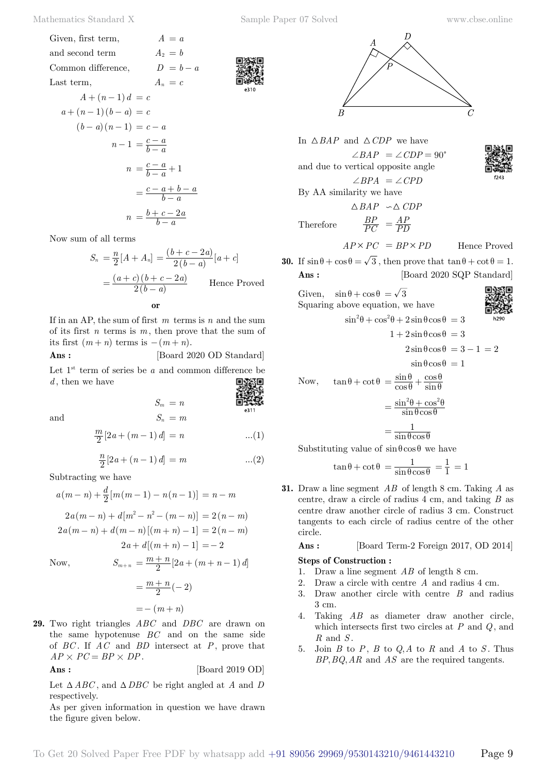Given, first term,  $A = a$ and second term  $A_2 = b$ Common difference,  $D = b - a$ Last term,  $A_n = c$  $A + (n-1)d = c$  $a + (n-1)(b-a) = c$  $(b - a)(n - 1) = c - a$  $n-1 = \frac{c-a}{b-a}$  $n = \frac{c - a}{b - a} + 1$  $=\frac{c-a+b-a}{b-a}$ 

Now sum of all terms

$$
S_n = \frac{n}{2}[A + A_n] = \frac{(b+c-2a)}{2(b-a)}[a+c]
$$

$$
= \frac{(a+c)(b+c-2a)}{2(b-a)}
$$
Hence Proved

 **o**

 $n = \frac{b+c-2a}{b-a}$ 

If in an AP, the sum of first *m* terms is *n* and the sum of its first *n* terms is *m*, then prove that the sum of its first  $(m + n)$  terms is  $-(m + n)$ .

 **Ans :** [Board 2020 OD Standard]

Let  $1<sup>st</sup>$  term of series be  $a$  and common difference be d, then we have

and  $S_n = m$ 

$$
\frac{m}{2}[2a + (m-1)d] = n \qquad ...(1)
$$

 $S_m = n$ 

$$
\frac{n}{2}[2a + (n-1)d] = m \qquad ...(2)
$$

Subtracting we have

$$
a(m-n) + \frac{d}{2}[m(m-1) - n(n-1)] = n-m
$$
  
\n
$$
2a(m-n) + d[m^2 - n^2 - (m-n)] = 2(n-m)
$$
  
\n
$$
2a(m-n) + d(m-n)[(m+n) - 1] = 2(n-m)
$$
  
\n
$$
2a + d[(m+n) - 1] = -2
$$
  
\nNow,  
\n
$$
S_{m+n} = \frac{m+n}{2}[2a + (m+n-1)d]
$$

$$
= \frac{m+n}{2}(-2)
$$

$$
= -(m+n)
$$

**29.** Two right triangles *ABC* and *DBC* are drawn on the same hypotenuse *BC* and on the same side of *BC* . If *AC* and *BD* intersect at *P*, prove that  $AP \times PC = BP \times DP$ .

$$
Ans: \qquad \qquad [\text{Board 2019 OD}]
$$

Let  $\triangle ABC$ , and  $\triangle DBC$  be right angled at *A* and *D* respectively.

As per given information in question we have drawn the figure given below.

In  $\triangle BAP$  and  $\triangle CDP$  we have

 $\angle BAP$  =  $\angle CDP = 90^{\circ}$ and due to vertical opposite angle  $\angle$ *BPA* =  $\angle$ *CPD* 

By AA similarity we have

Therefo

$$
\triangle BAP \sim \triangle CDF
$$
  
re 
$$
\frac{BP}{PC} = \frac{AP}{PD}
$$

$$
AP \times PC = BP \times PD
$$
 Hence Proved

**30.** If  $\sin \theta + \cos \theta = \sqrt{3}$ , then prove that  $\tan \theta + \cot \theta = 1$ . **Ans :** [Board 2020 SQP Standard]

Given, 
$$
\sin \theta + \cos \theta = \sqrt{3}
$$
  
Squaring above equation, we have  
 $\sin^2 \theta + \cos^2 \theta + 2 \sin \theta \cos \theta = 3$ 

$$
1 + 2\sin\theta\cos\theta = 3
$$

$$
2\sin\theta\cos\theta = 3 - 1 = 2
$$

$$
\sin\theta\cos\theta = 1
$$

Now,  $\tan \theta + \cot \theta = \frac{\sin \theta}{\cos \theta}$ sin sin cos θ θ  $=$  $\frac{\sin \theta}{\cos \theta} + \frac{\cos \theta}{\sin \theta}$  $=\frac{\sin^2\theta+\cos^2\theta}{\sin\theta\cos\theta}$  $=\frac{\sin^2\theta + \cos^2\theta}{\sin\theta\cos\theta}$  $=\frac{1}{\sin\theta\cos\theta}$ 

Substituting value of  $\sin \theta \cos \theta$  we have

$$
\tan\theta + \cot\theta = \frac{1}{\sin\theta\cos\theta} = \frac{1}{1} = 1
$$

**31.** Draw a line segment *AB* of length 8 cm. Taking *A* as centre, draw a circle of radius 4 cm, and taking *B* as centre draw another circle of radius 3 cm. Construct tangents to each circle of radius centre of the other circle.

 **Ans :** [Board Term-2 Foreign 2017, OD 2014]

#### **Steps of Construction :**

- 1. Draw a line segment *AB* of length 8 cm.
- 2. Draw a circle with centre *A* and radius 4 cm.
- 3. Draw another circle with centre *B* and radius 3 cm.
- 4. Taking *AB* as diameter draw another circle, which intersects first two circles at *P* and *Q*, and *R* and *S* .
- 5. Join *B* to *P*, *B* to *Q A*, to *R* and *A* to *S* . Thus *BP, BQ, AR* and *AS* are the required tangents.



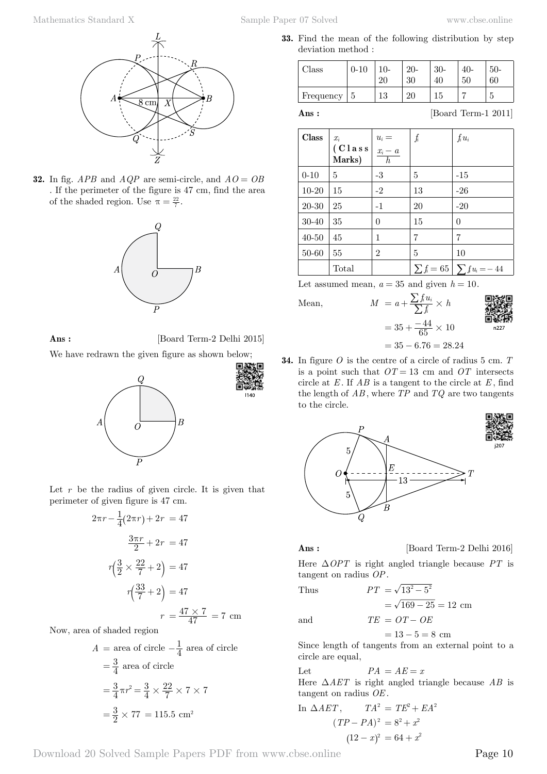

**32.** In fig. *APB* and *AQP* are semi-circle, and *AO* = *OB* . If the perimeter of the figure is 47 cm, find the area of the shaded region. Use  $\pi = \frac{22}{7}$ .





**Ans :** [Board Term-2 Delhi 2015]

We have redrawn the given figure as shown below;



Let  $r$  be the radius of given circle. It is given that perimeter of given figure is 47 cm.

$$
2\pi r - \frac{1}{4}(2\pi r) + 2r = 47
$$

$$
\frac{3\pi r}{2} + 2r = 47
$$

$$
r\left(\frac{3}{2} \times \frac{22}{7} + 2\right) = 47
$$

$$
r\left(\frac{33}{7} + 2\right) = 47
$$

$$
r = \frac{47 \times 7}{47} =
$$

Now, area of shaded region

$$
A = \text{area of circle} - \frac{1}{4} \text{ area of circle}
$$

$$
= \frac{3}{4} \text{ area of circle}
$$

$$
= \frac{3}{4} \pi r^2 = \frac{3}{4} \times \frac{22}{7} \times 7 \times 7
$$

$$
= \frac{3}{2} \times 77 = 115.5 \text{ cm}^2
$$

**33.** Find the mean of the following distribution by step deviation method :

| $\gamma_{\rm lass}$ | $0 - 10$ | $10-$<br>20 | $20-$<br>30 | $30-$<br>40 | 40-<br>50 | $50-$<br>60 |
|---------------------|----------|-------------|-------------|-------------|-----------|-------------|
| Frequency           | ◡        | 13          | റ്          |             |           | P.<br>◡     |

**Ans :** [Board Term-1 2011]

| Class     | $x_i$<br>(Class<br>Marks) | $u_i =$<br>$\frac{x_i - a_i}{\cdots}$<br>h | $f_i$        | $\int_i u_i$                          |
|-----------|---------------------------|--------------------------------------------|--------------|---------------------------------------|
| $0 - 10$  | 5                         | -3                                         | 5            | $-15$                                 |
| 10-20     | 15                        | $-2$                                       | 13           | $-26$                                 |
| $20 - 30$ | 25                        | $-1$                                       | 20           | $-20$                                 |
| $30 - 40$ | 35                        | $\Omega$                                   | 15           | $\Omega$                              |
| $40 - 50$ | 45                        | 1                                          | 7            | 7                                     |
| 50-60     | 55                        | $\overline{2}$                             | $\mathbf{5}$ | 10                                    |
|           | Total                     |                                            |              | $\sum f_i = 65 \mid \sum f u_i = -44$ |

Let assumed mean,  $a = 35$  and given  $h = 10$ .

Mean,  $M = a + \frac{\sum f_i u_i}{\sum f_i} \times h$ 

$$
\begin{array}{c}\n\frac{1}{2} \\
\frac{1}{2} \\
\frac{1}{2} \\
\frac{1}{2} \\
\frac{1}{2} \\
\frac{1}{2} \\
\frac{1}{2} \\
\frac{1}{2} \\
\frac{1}{2} \\
\frac{1}{2} \\
\frac{1}{2} \\
\frac{1}{2} \\
\frac{1}{2} \\
\frac{1}{2} \\
\frac{1}{2} \\
\frac{1}{2} \\
\frac{1}{2} \\
\frac{1}{2} \\
\frac{1}{2} \\
\frac{1}{2} \\
\frac{1}{2} \\
\frac{1}{2} \\
\frac{1}{2} \\
\frac{1}{2} \\
\frac{1}{2} \\
\frac{1}{2} \\
\frac{1}{2} \\
\frac{1}{2} \\
\frac{1}{2} \\
\frac{1}{2} \\
\frac{1}{2} \\
\frac{1}{2} \\
\frac{1}{2} \\
\frac{1}{2} \\
\frac{1}{2} \\
\frac{1}{2} \\
\frac{1}{2} \\
\frac{1}{2} \\
\frac{1}{2} \\
\frac{1}{2} \\
\frac{1}{2} \\
\frac{1}{2} \\
\frac{1}{2} \\
\frac{1}{2} \\
\frac{1}{2} \\
\frac{1}{2} \\
\frac{1}{2} \\
\frac{1}{2} \\
\frac{1}{2} \\
\frac{1}{2} \\
\frac{1}{2} \\
\frac{1}{2} \\
\frac{1}{2} \\
\frac{1}{2} \\
\frac{1}{2} \\
\frac{1}{2} \\
\frac{1}{2} \\
\frac{1}{2} \\
\frac{1}{2} \\
\frac{1}{2} \\
\frac{1}{2} \\
\frac{1}{2} \\
\frac{1}{2} \\
\frac{1}{2} \\
\frac{1}{2} \\
\frac{1}{2} \\
\frac{1}{2} \\
\frac{1}{2} \\
\frac{1}{2} \\
\frac{1}{2} \\
\frac{1}{2} \\
\frac{1}{2} \\
\frac{1}{2} \\
\frac{1}{2} \\
\frac{1}{2} \\
\frac{1}{2} \\
\frac{1}{2} \\
\frac{1}{2} \\
\frac{1}{2} \\
\frac{1}{2} \\
\frac{1}{2} \\
\frac{1}{2} \\
\frac{1}{2} \\
\frac{1}{2} \\
\frac{1}{2} \\
\frac{1}{2} \\
\frac{1}{2} \\
\frac{1}{2} \\
\frac{1}{2} \\
\frac{1}{2} \\
\frac{1}{2} \\
\frac{1}{2} \\
\frac{1}{2} \\
\frac{1}{2} \\
$$

$$
= 35 + \frac{-44}{65} \times 10
$$

$$
= 35 - 6.76 = 28.24
$$

**34.** In figure *O* is the centre of a circle of radius 5 cm. *T* is a point such that  $OT = 13$  cm and  $OT$  intersects circle at *E* . If *AB* is a tangent to the circle at *E* , find the length of *AB* , where *TP* and *TQ* are two tangents to the circle.



**Ans :** [Board Term-2 Delhi 2016]

Here  $\triangle$ *OPT* is right angled triangle because *PT* is tangent on radius *OP*.

and  $TE = OT - OE$ 

 $= 13 - 5 = 8$  cm

 $=\sqrt{169 - 25} = 12$  cm

Since length of tangents from an external point to a circle are equal,

Let  $PA = AE = x$ 

Thus  $PT = \sqrt{13^2 - 5^2}$ 

Here  $\triangle AET$  is right angled triangle because  $\overline{AB}$  is tangent on radius *OE* .

In 
$$
\triangle AET
$$
,  $TA^2 = TE^2 + EA^2$   
\n
$$
(TP - PA)^2 = 8^2 + x^2
$$
\n
$$
(12 - x)^2 = 64 + x^2
$$

Download 20 Solved Sample Papers PDF from [www.cbse.online](http://www.cbse.online) Page 10

 $7 \text{ cm}$